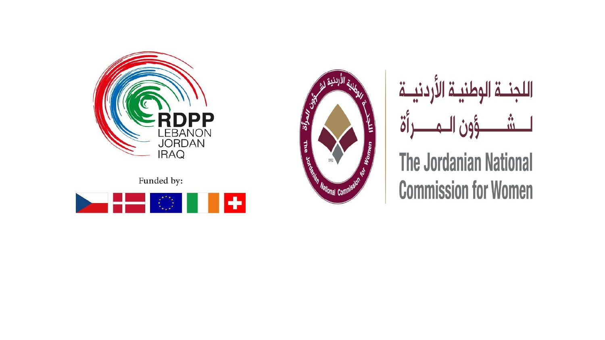

Funded by:







**The Jordanian National Commission for Women**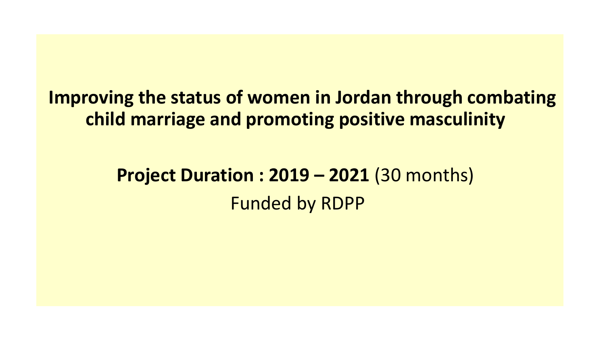## **Improving the status of women in Jordan through combating child marriage and promoting positive masculinity**

## **Project Duration : 2019 – 2021** (30 months) Funded by RDPP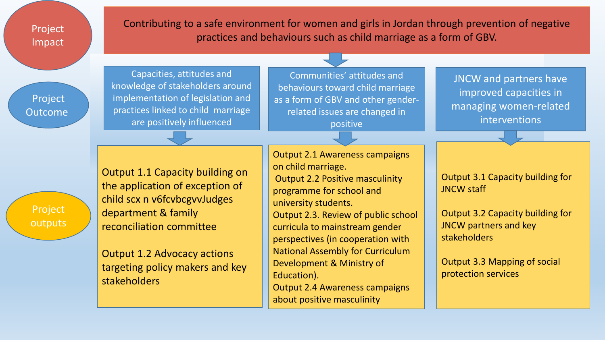Project Impact

Contributing to a safe environment for women and girls in Jordan through prevention of negative practices and behaviours such as child marriage as a form of GBV.

Project Outcome

Capacities, attitudes and knowledge of stakeholders around implementation of legislation and practices linked to child marriage are positively influenced

Communities' attitudes and behaviours toward child marriage as a form of GBV and other genderrelated issues are changed in positive

JNCW and partners have improved capacities in managing women-related interventions

Project outputs Output 1.1 Capacity building on the application of exception of child scx n v6fcvbcgvvJudges department & family reconciliation committee

Output 1.2 Advocacy actions targeting policy makers and key stakeholders

Output 2.1 Awareness campaigns on child marriage. Output 2.2 Positive masculinity programme for school and university students. Output 2.3. Review of public school curricula to mainstream gender perspectives (in cooperation with National Assembly for Curriculum Development & Ministry of Education).

Output 2.4 Awareness campaigns about positive masculinity

Output 3.1 Capacity building for JNCW staff

Output 3.2 Capacity building for JNCW partners and key stakeholders

Output 3.3 Mapping of social protection services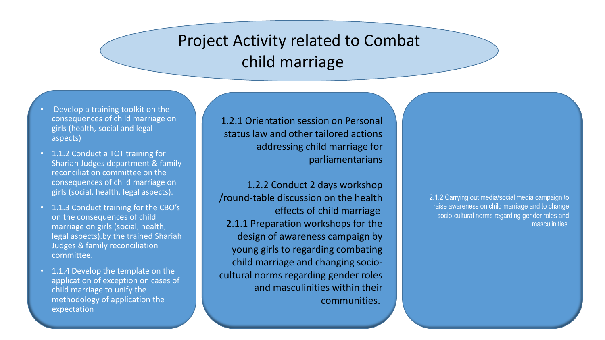## Project Activity related to Combat child marriage

- Develop a training toolkit on the consequences of child marriage on girls (health, social and legal aspects)
- 1.1.2 Conduct a TOT training for Shariah Judges department & family reconciliation committee on the consequences of child marriage on girls (social, health, legal aspects).
- 1.1.3 Conduct training for the CBO's on the consequences of child marriage on girls (social, health, legal aspects).by the trained Shariah Judges & family reconciliation committee.
- 1.1.4 Develop the template on the application of exception on cases of child marriage to unify the methodology of application the expectation

1.2.1 Orientation session on Personal status law and other tailored actions addressing child marriage for parliamentarians

1.2.2 Conduct 2 days workshop /round-table discussion on the health effects of child marriage 2.1.1 Preparation workshops for the design of awareness campaign by young girls to regarding combating child marriage and changing sociocultural norms regarding gender roles and masculinities within their communities.

2.1.2 Carrying out media/social media campaign to raise awareness on child marriage and to change socio-cultural norms regarding gender roles and masculinities.